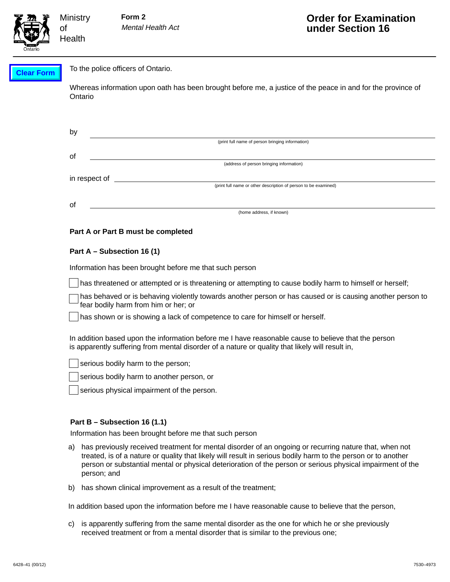

#### To the police officers of Ontario. **Clear Form**

**Ministry** 

of **Health** 

> Whereas information upon oath has been brought before me, a justice of the peace in and for the province of Ontario

| by            |                                                                 |
|---------------|-----------------------------------------------------------------|
|               | (print full name of person bringing information)                |
| οf            |                                                                 |
|               | (address of person bringing information)                        |
| in respect of |                                                                 |
|               | (print full name or other description of person to be examined) |
|               |                                                                 |
| οf            | (home address, if known)                                        |

# **Part A or Part B must be completed**

# **Part A – Subsection 16 (1)**

Information has been brought before me that such person

has threatened or attempted or is threatening or attempting to cause bodily harm to himself or herself;

has behaved or is behaving violently towards another person or has caused or is causing another person to fear bodily harm from him or her; or

has shown or is showing a lack of competence to care for himself or herself.

In addition based upon the information before me I have reasonable cause to believe that the person is apparently suffering from mental disorder of a nature or quality that likely will result in,

serious bodily harm to the person;

serious bodily harm to another person, or

serious physical impairment of the person.

## **Part B – Subsection 16 (1.1)**

Information has been brought before me that such person

- a) has previously received treatment for mental disorder of an ongoing or recurring nature that, when not treated, is of a nature or quality that likely will result in serious bodily harm to the person or to another person or substantial mental or physical deterioration of the person or serious physical impairment of the person; and
- b) has shown clinical improvement as a result of the treatment;

In addition based upon the information before me I have reasonable cause to believe that the person,

c) is apparently suffering from the same mental disorder as the one for which he or she previously received treatment or from a mental disorder that is similar to the previous one;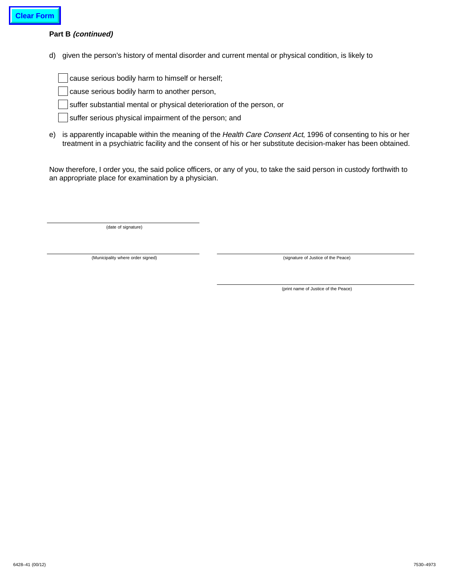# **Part B (continued)**

d) given the person's history of mental disorder and current mental or physical condition, is likely to

cause serious bodily harm to himself or herself;

cause serious bodily harm to another person,

suffer substantial mental or physical deterioration of the person, or

suffer serious physical impairment of the person; and

e) is apparently incapable within the meaning of the Health Care Consent Act, 1996 of consenting to his or her treatment in a psychiatric facility and the consent of his or her substitute decision-maker has been obtained.

Now therefore, I order you, the said police officers, or any of you, to take the said person in custody forthwith to an appropriate place for examination by a physician.

(date of signature)

(Municipality where order signed)

(signature of Justice of the Peace)

(print name of Justice of the Peace)